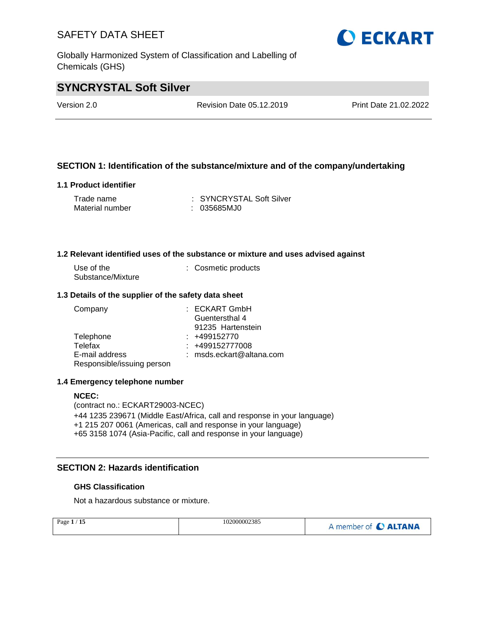Globally Harmonized System of Classification and Labelling of Chemicals (GHS)

# **O ECKART**

### **SYNCRYSTAL Soft Silver**

Version 2.0 Revision Date 05.12.2019 Print Date 21.02.2022

### **SECTION 1: Identification of the substance/mixture and of the company/undertaking**

#### **1.1 Product identifier**

| Trade name      | : SYNCRYSTAL Soft Silver |
|-----------------|--------------------------|
| Material number | : 035685MJ0              |

#### **1.2 Relevant identified uses of the substance or mixture and uses advised against**

| Use of the        | : Cosmetic products |
|-------------------|---------------------|
| Substance/Mixture |                     |

#### **1.3 Details of the supplier of the safety data sheet**

| Company                    | $:$ ECKART GmbH            |
|----------------------------|----------------------------|
|                            | Guentersthal 4             |
|                            | 91235 Hartenstein          |
| Telephone                  | $: +499152770$             |
| Telefax                    | $: +499152777008$          |
| E-mail address             | $:$ msds.eckart@altana.com |
| Responsible/issuing person |                            |

#### **1.4 Emergency telephone number**

#### **NCEC:**

(contract no.: ECKART29003-NCEC) +44 1235 239671 (Middle East/Africa, call and response in your language) +1 215 207 0061 (Americas, call and response in your language) +65 3158 1074 (Asia-Pacific, call and response in your language)

### **SECTION 2: Hazards identification**

#### **GHS Classification**

Not a hazardous substance or mixture.

| Page $1/15$ | 102000002385 | A member of C ALTANA |
|-------------|--------------|----------------------|
|             |              |                      |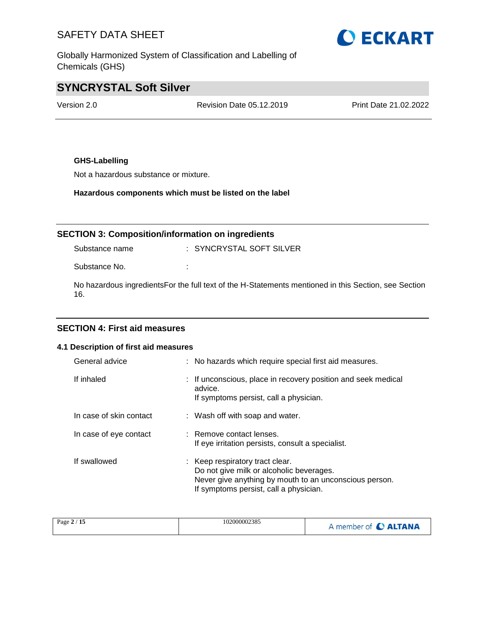Globally Harmonized System of Classification and Labelling of Chemicals (GHS)

# **O ECKART**

### **SYNCRYSTAL Soft Silver**

Version 2.0 Revision Date 05.12.2019 Print Date 21.02.2022

### **GHS-Labelling**

Not a hazardous substance or mixture.

**Hazardous components which must be listed on the label**

### **SECTION 3: Composition/information on ingredients**

Substance name : SYNCRYSTAL SOFT SILVER

Substance No.  $\qquad \qquad :$ 

No hazardous ingredientsFor the full text of the H-Statements mentioned in this Section, see Section 16.

### **SECTION 4: First aid measures**

#### **4.1 Description of first aid measures**

| General advice          | : No hazards which require special first aid measures.                                                                                                                          |
|-------------------------|---------------------------------------------------------------------------------------------------------------------------------------------------------------------------------|
| If inhaled              | : If unconscious, place in recovery position and seek medical<br>advice.<br>If symptoms persist, call a physician.                                                              |
| In case of skin contact | : Wash off with soap and water.                                                                                                                                                 |
| In case of eye contact  | : Remove contact lenses.<br>If eye irritation persists, consult a specialist.                                                                                                   |
| If swallowed            | : Keep respiratory tract clear.<br>Do not give milk or alcoholic beverages.<br>Never give anything by mouth to an unconscious person.<br>If symptoms persist, call a physician. |

| Page $2/15$ | 102000002385 | A member of <b>C ALTANA</b> |
|-------------|--------------|-----------------------------|
|-------------|--------------|-----------------------------|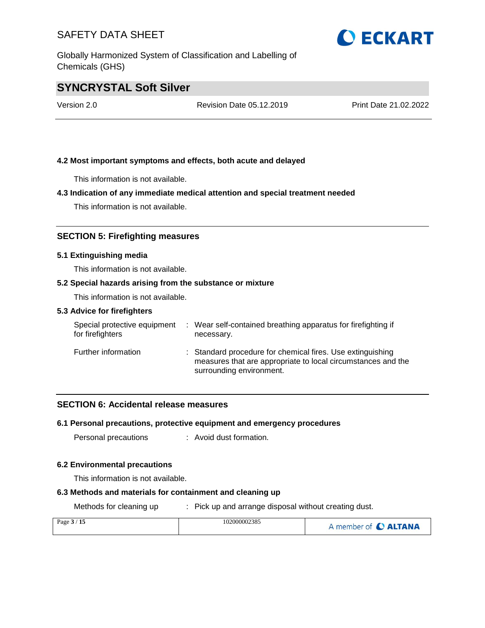Globally Harmonized System of Classification and Labelling of Chemicals (GHS)



### **SYNCRYSTAL Soft Silver**

Version 2.0 Revision Date 05.12.2019 Print Date 21.02.2022

### **4.2 Most important symptoms and effects, both acute and delayed**

This information is not available.

#### **4.3 Indication of any immediate medical attention and special treatment needed**

This information is not available.

### **SECTION 5: Firefighting measures**

#### **5.1 Extinguishing media**

This information is not available.

### **5.2 Special hazards arising from the substance or mixture**

This information is not available.

#### **5.3 Advice for firefighters**

| Special protective equipment<br>for firefighters | : Wear self-contained breathing apparatus for firefighting if<br>necessary.                                                                            |
|--------------------------------------------------|--------------------------------------------------------------------------------------------------------------------------------------------------------|
| Further information                              | : Standard procedure for chemical fires. Use extinguishing<br>measures that are appropriate to local circumstances and the<br>surrounding environment. |

#### **SECTION 6: Accidental release measures**

#### **6.1 Personal precautions, protective equipment and emergency procedures**

Personal precautions : Avoid dust formation.

#### **6.2 Environmental precautions**

This information is not available.

### **6.3 Methods and materials for containment and cleaning up**

Methods for cleaning up : Pick up and arrange disposal without creating dust.

| Page $3/15$ | 102000002385 | A member of C ALTANA |
|-------------|--------------|----------------------|
|             |              |                      |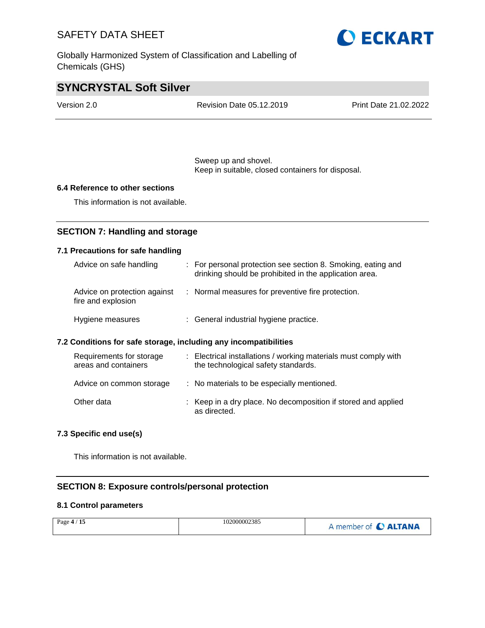Globally Harmonized System of Classification and Labelling of Chemicals (GHS)



### **SYNCRYSTAL Soft Silver**

| Version 2.0 | Revision Date 05.12.2019 | Print Date 21.02.2022 |
|-------------|--------------------------|-----------------------|
|             |                          |                       |

Sweep up and shovel. Keep in suitable, closed containers for disposal.

#### **6.4 Reference to other sections**

This information is not available.

### **SECTION 7: Handling and storage**

### **7.1 Precautions for safe handling**

| Advice on safe handling                                          | : For personal protection see section 8. Smoking, eating and<br>drinking should be prohibited in the application area. |  |
|------------------------------------------------------------------|------------------------------------------------------------------------------------------------------------------------|--|
| Advice on protection against<br>fire and explosion               | : Normal measures for preventive fire protection.                                                                      |  |
| Hygiene measures                                                 | : General industrial hygiene practice.                                                                                 |  |
| 7.2 Conditions for safe storage, including any incompatibilities |                                                                                                                        |  |

| Requirements for storage<br>areas and containers | : Electrical installations / working materials must comply with<br>the technological safety standards. |
|--------------------------------------------------|--------------------------------------------------------------------------------------------------------|
| Advice on common storage                         | : No materials to be especially mentioned.                                                             |
| Other data                                       | : Keep in a dry place. No decomposition if stored and applied<br>as directed.                          |

### **7.3 Specific end use(s)**

This information is not available.

### **SECTION 8: Exposure controls/personal protection**

### **8.1 Control parameters**

| Page $4/15$ | 102000002385 | A member of C ALTANA |
|-------------|--------------|----------------------|
|-------------|--------------|----------------------|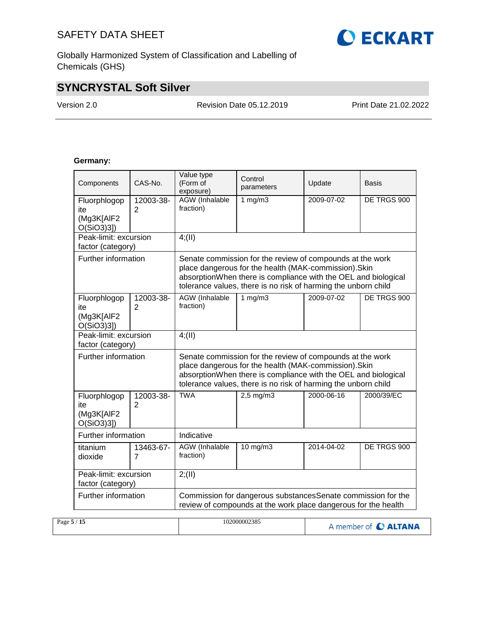Globally Harmonized System of Classification and Labelling of Chemicals (GHS)

### **SYNCRYSTAL Soft Silver**

÷

Version 2.0 Revision Date 05.12.2019 Print Date 21.02.2022

### **Germany:**

| Components                                        | CAS-No.                     | Value type<br>(Form of<br>exposure)                                                                                                                                                                                                                    | Control<br>parameters | Update     | Basis       |  |
|---------------------------------------------------|-----------------------------|--------------------------------------------------------------------------------------------------------------------------------------------------------------------------------------------------------------------------------------------------------|-----------------------|------------|-------------|--|
| Fluorphlogop<br>ite<br>(Mg3K[AIF2<br>O(SiO3)3]    | 12003-38-<br>2              | <b>AGW</b> (Inhalable<br>fraction)                                                                                                                                                                                                                     | $\frac{1}{1}$ mg/m3   | 2009-07-02 | DE TRGS 900 |  |
| Peak-limit: excursion<br>factor (category)        |                             | $4$ ; (II)                                                                                                                                                                                                                                             |                       |            |             |  |
| Further information                               |                             | Senate commission for the review of compounds at the work<br>place dangerous for the health (MAK-commission). Skin<br>absorptionWhen there is compliance with the OEL and biological<br>tolerance values, there is no risk of harming the unborn child |                       |            |             |  |
| Fluorphlogop<br>ite<br>(Mg3K[AlF2<br>O(SiO3)3]    | 12003-38-<br>$\overline{2}$ | AGW (Inhalable<br>fraction)                                                                                                                                                                                                                            | 1 $mg/m3$             | 2009-07-02 | DE TRGS 900 |  |
| Peak-limit: excursion<br>factor (category)        |                             | 4(11)                                                                                                                                                                                                                                                  |                       |            |             |  |
| Further information                               |                             | Senate commission for the review of compounds at the work<br>place dangerous for the health (MAK-commission). Skin<br>absorptionWhen there is compliance with the OEL and biological<br>tolerance values, there is no risk of harming the unborn child |                       |            |             |  |
| Fluorphlogop<br>ite<br>(Mg3K[AlF2<br>$O(SiO3)3$ ] | 12003-38-<br>2              | <b>TWA</b>                                                                                                                                                                                                                                             | $2,5$ mg/m $3$        | 2000-06-16 | 2000/39/EC  |  |
| Further information                               |                             | Indicative                                                                                                                                                                                                                                             |                       |            |             |  |
| titanium<br>dioxide                               | 13463-67-<br>7              | <b>AGW</b> (Inhalable<br>fraction)                                                                                                                                                                                                                     | $10$ mg/m $3$         | 2014-04-02 | DE TRGS 900 |  |
| Peak-limit: excursion<br>factor (category)        |                             | 2; (II)                                                                                                                                                                                                                                                |                       |            |             |  |
| Further information                               |                             | Commission for dangerous substancesSenate commission for the<br>review of compounds at the work place dangerous for the health                                                                                                                         |                       |            |             |  |

| Page $5/15$ | 102000002385 | A member of C ALTANA |
|-------------|--------------|----------------------|
|             |              |                      |

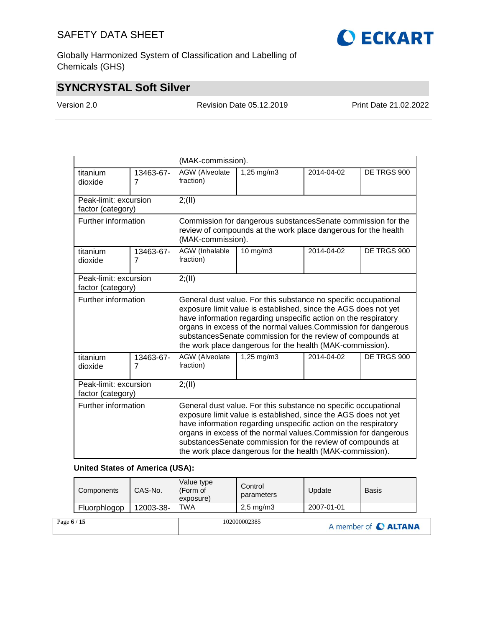**O ECKART** 

Globally Harmonized System of Classification and Labelling of Chemicals (GHS)

### **SYNCRYSTAL Soft Silver**

Version 2.0 Revision Date 05.12.2019 Print Date 21.02.2022

|                                            |                | (MAK-commission).                                                                                                                                                                                                                                                                                                                                                                                   |                         |            |             |  |
|--------------------------------------------|----------------|-----------------------------------------------------------------------------------------------------------------------------------------------------------------------------------------------------------------------------------------------------------------------------------------------------------------------------------------------------------------------------------------------------|-------------------------|------------|-------------|--|
| titanium<br>dioxide                        | 13463-67-<br>7 | <b>AGW</b> (Alveolate<br>fraction)                                                                                                                                                                                                                                                                                                                                                                  | 1,25 mg/m3              | 2014-04-02 | DE TRGS 900 |  |
| Peak-limit: excursion<br>factor (category) |                | 2; (II)                                                                                                                                                                                                                                                                                                                                                                                             |                         |            |             |  |
| Further information                        |                | Commission for dangerous substances Senate commission for the<br>review of compounds at the work place dangerous for the health<br>(MAK-commission).                                                                                                                                                                                                                                                |                         |            |             |  |
| titanium<br>dioxide                        | 13463-67-<br>7 | AGW (Inhalable<br>fraction)                                                                                                                                                                                                                                                                                                                                                                         | 10 mg/m3                | 2014-04-02 | DE TRGS 900 |  |
| Peak-limit: excursion<br>factor (category) |                | 2; (II)                                                                                                                                                                                                                                                                                                                                                                                             |                         |            |             |  |
| Further information                        |                | General dust value. For this substance no specific occupational<br>exposure limit value is established, since the AGS does not yet<br>have information regarding unspecific action on the respiratory<br>organs in excess of the normal values. Commission for dangerous<br>substancesSenate commission for the review of compounds at<br>the work place dangerous for the health (MAK-commission). |                         |            |             |  |
| titanium<br>dioxide                        | 13463-67-<br>7 | AGW (Alveolate<br>fraction)                                                                                                                                                                                                                                                                                                                                                                         | $1,25 \, \text{mg/m}$ 3 | 2014-04-02 | DE TRGS 900 |  |
| Peak-limit: excursion<br>factor (category) |                | 2; (II)                                                                                                                                                                                                                                                                                                                                                                                             |                         |            |             |  |
| Further information                        |                | General dust value. For this substance no specific occupational<br>exposure limit value is established, since the AGS does not yet<br>have information regarding unspecific action on the respiratory<br>organs in excess of the normal values. Commission for dangerous<br>substancesSenate commission for the review of compounds at<br>the work place dangerous for the health (MAK-commission). |                         |            |             |  |

### **United States of America (USA):**

| Page 6 / 15 |              |           |                        | 102000002385           |            | A member of C ALTANA |  |
|-------------|--------------|-----------|------------------------|------------------------|------------|----------------------|--|
|             | Fluorphlogop | 12003-38- | exposure)<br>TWA       | $2,5 \, \text{mg/m}$ 3 | 2007-01-01 |                      |  |
|             | Components   | CAS-No.   | Value type<br>(Form of | Control<br>parameters  | Update     | <b>Basis</b>         |  |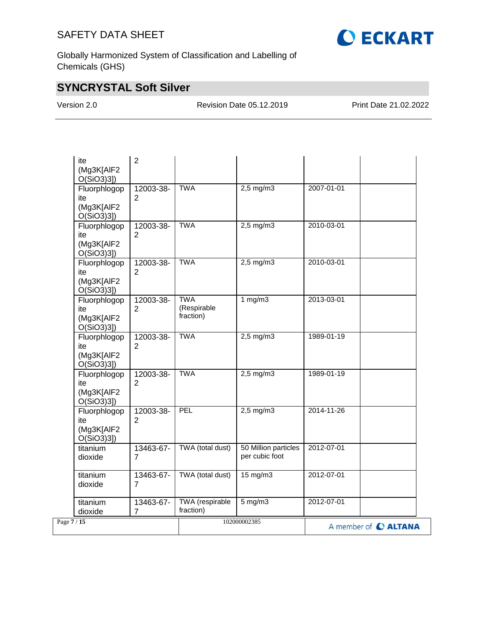

Globally Harmonized System of Classification and Labelling of Chemicals (GHS)

### **SYNCRYSTAL Soft Silver**

Version 2.0 Revision Date 05.12.2019 Print Date 21.02.2022

| ite<br>(Mg3K[AlF2<br>$O(SiO3)3$ ]                 | $\overline{2}$              |                                        |                                          |            |                      |
|---------------------------------------------------|-----------------------------|----------------------------------------|------------------------------------------|------------|----------------------|
| Fluorphlogop<br>ite<br>(Mg3K[AlF2<br>$O(SiO3)3$ ] | 12003-38-<br>$\overline{2}$ | <b>TWA</b>                             | $2,5$ mg/m $3$                           | 2007-01-01 |                      |
| Fluorphlogop<br>ite<br>(Mg3K[AlF2<br>$O(SiO3)3$ ] | 12003-38-<br>2              | <b>TWA</b>                             | $2,5$ mg/m $3$                           | 2010-03-01 |                      |
| Fluorphlogop<br>ite<br>(Mg3K[AIF2<br>$O(SiO3)3$ ] | 12003-38-<br>2              | <b>TWA</b>                             | $2,5$ mg/m $3$                           | 2010-03-01 |                      |
| Fluorphlogop<br>ite<br>(Mg3K[AlF2<br>O(SiO3)3])   | 12003-38-<br>$\overline{2}$ | <b>TWA</b><br>(Respirable<br>fraction) | 1 $mg/m3$                                | 2013-03-01 |                      |
| Fluorphlogop<br>ite<br>(Mg3K[AlF2<br>O(SiO3)3]    | 12003-38-<br>2              | <b>TWA</b>                             | $2,5 \overline{\mathrm{mg}}/\mathrm{m}3$ | 1989-01-19 |                      |
| Fluorphlogop<br>ite<br>(Mg3K[AIF2<br>O(SiO3)3]    | 12003-38-<br>2              | <b>TWA</b>                             | $2,5$ mg/m $3$                           | 1989-01-19 |                      |
| Fluorphlogop<br>ite<br>(Mg3K[AIF2<br>$O(SiO3)3$ ] | 12003-38-<br>$\overline{2}$ | PEL                                    | $2,5$ mg/m $3$                           | 2014-11-26 |                      |
| titanium<br>dioxide                               | 13463-67-<br>$\overline{7}$ | TWA (total dust)                       | 50 Million particles<br>per cubic foot   | 2012-07-01 |                      |
| titanium<br>dioxide                               | 13463-67-<br>7              | TWA (total dust)                       | $15 \text{ mg/m}$                        | 2012-07-01 |                      |
| titanium<br>dioxide                               | 13463-67-<br>$\overline{7}$ | TWA (respirable<br>fraction)           | $5 \text{ mg/m}$                         | 2012-07-01 |                      |
| Page 7/15                                         |                             |                                        | 102000002385                             |            | A member of C ALTANA |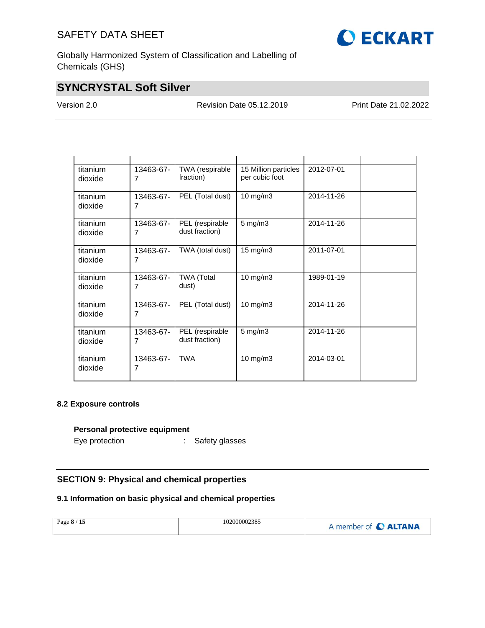

Globally Harmonized System of Classification and Labelling of Chemicals (GHS)

### **SYNCRYSTAL Soft Silver**

Version 2.0 Revision Date 05.12.2019 Print Date 21.02.2022

| titanium<br>dioxide | 13463-67-<br>7 | TWA (respirable<br>fraction)      | 15 Million particles<br>per cubic foot | 2012-07-01 |
|---------------------|----------------|-----------------------------------|----------------------------------------|------------|
| titanium<br>dioxide | 13463-67-<br>7 | PEL (Total dust)                  | 10 mg/m $3$                            | 2014-11-26 |
| titanium<br>dioxide | 13463-67-<br>7 | PEL (respirable<br>dust fraction) | $5$ mg/m $3$                           | 2014-11-26 |
| titanium<br>dioxide | 13463-67-<br>7 | TWA (total dust)                  | $15 \text{ mg/m}$                      | 2011-07-01 |
| titanium<br>dioxide | 13463-67-<br>7 | <b>TWA (Total</b><br>dust)        | 10 mg/m3                               | 1989-01-19 |
| titanium<br>dioxide | 13463-67-<br>7 | PEL (Total dust)                  | $10$ mg/m $3$                          | 2014-11-26 |
| titanium<br>dioxide | 13463-67-<br>7 | PEL (respirable<br>dust fraction) | $5$ mg/m $3$                           | 2014-11-26 |
| titanium<br>dioxide | 13463-67-<br>7 | <b>TWA</b>                        | 10 mg/m3                               | 2014-03-01 |

### **8.2 Exposure controls**

#### **Personal protective equipment**

Eye protection : Safety glasses

### **SECTION 9: Physical and chemical properties**

### **9.1 Information on basic physical and chemical properties**

| Page 8 / 15 | 102000002385 | A member of C ALTANA |
|-------------|--------------|----------------------|
|-------------|--------------|----------------------|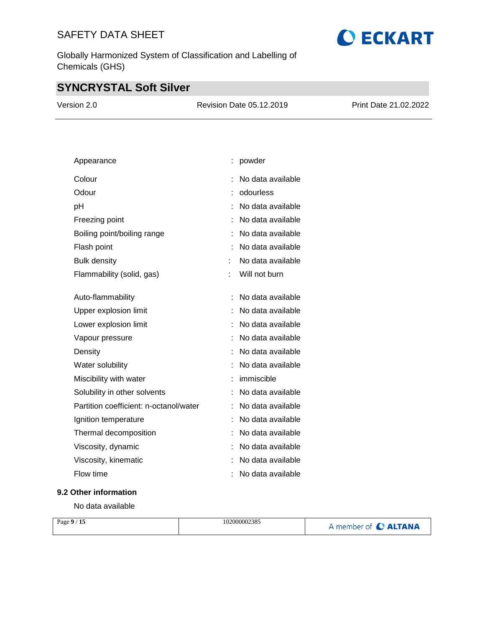Globally Harmonized System of Classification and Labelling of Chemicals (GHS)

## **SYNCRYSTAL Soft Silver**

| Version 2.0 | Revision Date 05.12.2019 | Print Date 21.02.2022 |
|-------------|--------------------------|-----------------------|
|             |                          |                       |

| Appearance                             |   | powder            |
|----------------------------------------|---|-------------------|
| Colour                                 | İ | No data available |
| Odour                                  |   | odourless         |
| рH                                     |   | No data available |
| Freezing point                         |   | No data available |
| Boiling point/boiling range            |   | No data available |
| Flash point                            |   | No data available |
| <b>Bulk density</b>                    |   | No data available |
| Flammability (solid, gas)              |   | Will not burn     |
|                                        |   |                   |
| Auto-flammability                      | İ | No data available |
| Upper explosion limit                  |   | No data available |
| Lower explosion limit                  |   | No data available |
| Vapour pressure                        |   | No data available |
| Density                                |   | No data available |
| Water solubility                       |   | No data available |
| Miscibility with water                 |   | immiscible        |
| Solubility in other solvents           |   | No data available |
| Partition coefficient: n-octanol/water | t | No data available |
| Ignition temperature                   |   | No data available |
| Thermal decomposition                  |   | No data available |
| Viscosity, dynamic                     |   | No data available |
| Viscosity, kinematic                   |   | No data available |
| Flow time                              |   | No data available |

### **9.2 Other information**

No data available

| Page $9/15$ | 102000002385 | A member of C ALTANA |
|-------------|--------------|----------------------|
|             |              |                      |

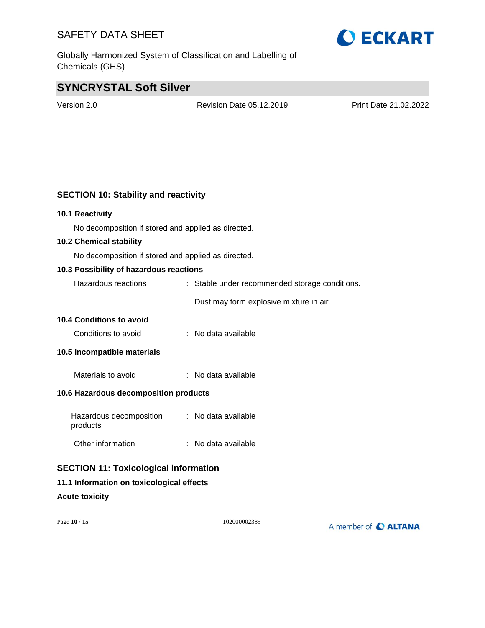Globally Harmonized System of Classification and Labelling of Chemicals (GHS)

### **SYNCRYSTAL Soft Silver**

Version 2.0 Revision Date 05.12.2019 Print Date 21.02.2022

### **SECTION 10: Stability and reactivity**

### **10.1 Reactivity**

No decomposition if stored and applied as directed.

### **10.2 Chemical stability**

No decomposition if stored and applied as directed.

### **10.3 Possibility of hazardous reactions**

| Hazardous reactions                   | : Stable under recommended storage conditions. |  |
|---------------------------------------|------------------------------------------------|--|
|                                       | Dust may form explosive mixture in air.        |  |
| <b>10.4 Conditions to avoid</b>       |                                                |  |
| Conditions to avoid                   | ∴ No data available.                           |  |
| 10.5 Incompatible materials           |                                                |  |
| Materials to avoid                    | : No data available                            |  |
| 10.6 Hazardous decomposition products |                                                |  |
|                                       |                                                |  |

Hazardous decomposition : No data available products Other information : No data available

### **SECTION 11: Toxicological information**

### **11.1 Information on toxicological effects**

### **Acute toxicity**

| A member of C ALTANA | Page 10 / 15 | 102000002385 |  |
|----------------------|--------------|--------------|--|
|----------------------|--------------|--------------|--|

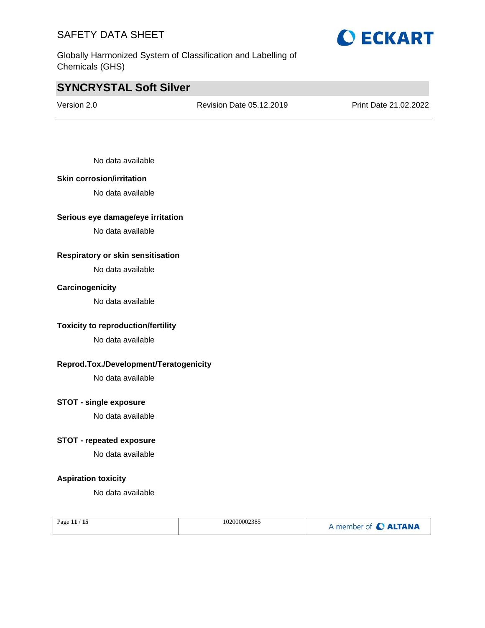Globally Harmonized System of Classification and Labelling of Chemicals (GHS)



### **SYNCRYSTAL Soft Silver**

Version 2.0 Revision Date 05.12.2019 Print Date 21.02.2022

No data available

#### **Skin corrosion/irritation**

No data available

#### **Serious eye damage/eye irritation**

No data available

### **Respiratory or skin sensitisation**

No data available

#### **Carcinogenicity**

No data available

### **Toxicity to reproduction/fertility**

No data available

### **Reprod.Tox./Development/Teratogenicity**

No data available

### **STOT - single exposure**

No data available

#### **STOT - repeated exposure**

No data available

### **Aspiration toxicity**

No data available

| Page $11/15$ | 102000002385 | A member of C ALTANA |
|--------------|--------------|----------------------|
|--------------|--------------|----------------------|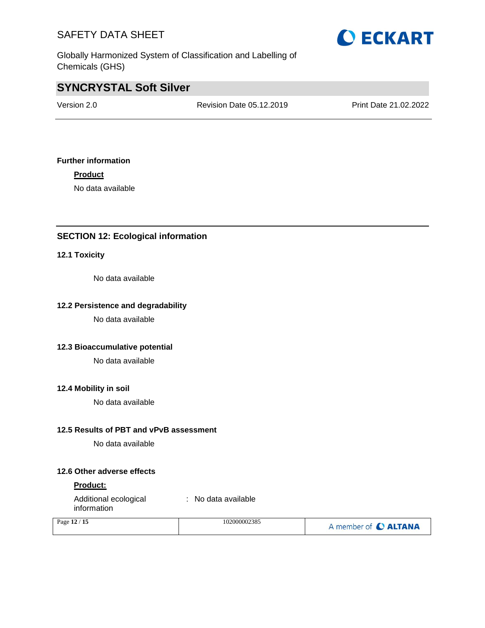

Globally Harmonized System of Classification and Labelling of Chemicals (GHS)

### **SYNCRYSTAL Soft Silver**

Version 2.0 Revision Date 05.12.2019 Print Date 21.02.2022

### **Further information**

**Product**

No data available

### **SECTION 12: Ecological information**

#### **12.1 Toxicity**

No data available

### **12.2 Persistence and degradability**

No data available

### **12.3 Bioaccumulative potential**

No data available

### **12.4 Mobility in soil**

No data available

#### **12.5 Results of PBT and vPvB assessment**

No data available

#### **12.6 Other adverse effects**

#### **Product:**

Additional ecological information : No data available

| Page 12 / 15 | 102000002385 | A member of C ALTANA |
|--------------|--------------|----------------------|
|              |              |                      |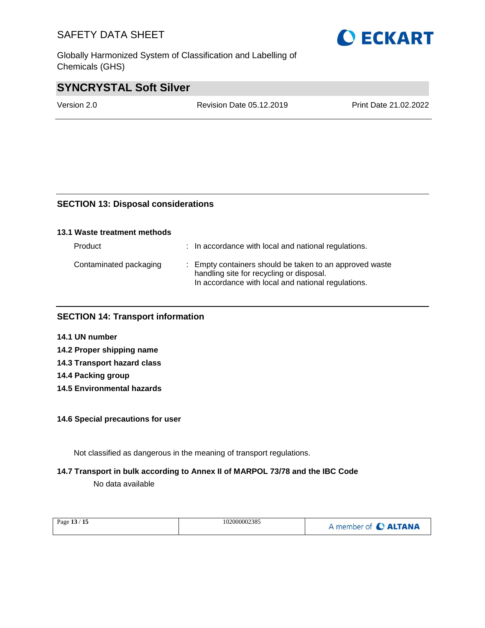Globally Harmonized System of Classification and Labelling of Chemicals (GHS)

### **SYNCRYSTAL Soft Silver**

Version 2.0 Revision Date 05.12.2019 Print Date 21.02.2022

### **SECTION 13: Disposal considerations**

| 13.1 Waste treatment methods |                                                                                                                                                           |
|------------------------------|-----------------------------------------------------------------------------------------------------------------------------------------------------------|
| Product                      | : In accordance with local and national regulations.                                                                                                      |
| Contaminated packaging       | : Empty containers should be taken to an approved waste<br>handling site for recycling or disposal.<br>In accordance with local and national regulations. |

### **SECTION 14: Transport information**

- **14.1 UN number**
- **14.2 Proper shipping name**
- **14.3 Transport hazard class**
- **14.4 Packing group**
- **14.5 Environmental hazards**

### **14.6 Special precautions for user**

Not classified as dangerous in the meaning of transport regulations.

### **14.7 Transport in bulk according to Annex II of MARPOL 73/78 and the IBC Code**

No data available

| 102000002385<br>Page 13 / 15 | A member of C ALTANA |
|------------------------------|----------------------|
|------------------------------|----------------------|

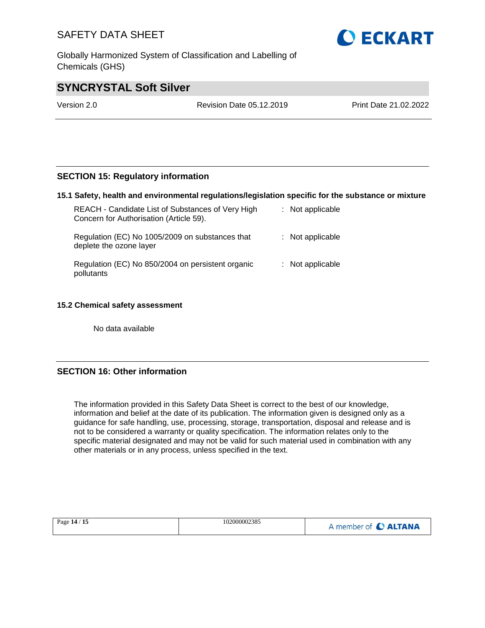Globally Harmonized System of Classification and Labelling of Chemicals (GHS)



### **SYNCRYSTAL Soft Silver**

Version 2.0 Revision Date 05.12.2019 Print Date 21.02.2022

### **SECTION 15: Regulatory information**

#### **15.1 Safety, health and environmental regulations/legislation specific for the substance or mixture**

| REACH - Candidate List of Substances of Very High<br>Concern for Authorisation (Article 59). | $:$ Not applicable |
|----------------------------------------------------------------------------------------------|--------------------|
| Regulation (EC) No 1005/2009 on substances that<br>deplete the ozone layer                   | : Not applicable   |
| Regulation (EC) No 850/2004 on persistent organic<br>pollutants                              | $:$ Not applicable |

#### **15.2 Chemical safety assessment**

No data available

### **SECTION 16: Other information**

The information provided in this Safety Data Sheet is correct to the best of our knowledge, information and belief at the date of its publication. The information given is designed only as a guidance for safe handling, use, processing, storage, transportation, disposal and release and is not to be considered a warranty or quality specification. The information relates only to the specific material designated and may not be valid for such material used in combination with any other materials or in any process, unless specified in the text.

| Page 14 / 15 | 102000002385 | A member of C ALTANA |
|--------------|--------------|----------------------|
|--------------|--------------|----------------------|